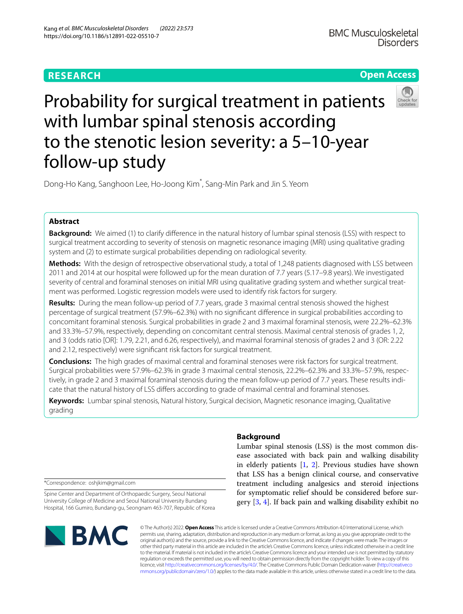# **RESEARCH**

# **Open Access**



Probability for surgical treatment in patients with lumbar spinal stenosis according to the stenotic lesion severity: a 5–10-year follow-up study

Dong-Ho Kang, Sanghoon Lee, Ho-Joong Kim<sup>\*</sup>, Sang-Min Park and Jin S. Yeom

## **Abstract**

**Background:** We aimed (1) to clarify diference in the natural history of lumbar spinal stenosis (LSS) with respect to surgical treatment according to severity of stenosis on magnetic resonance imaging (MRI) using qualitative grading system and (2) to estimate surgical probabilities depending on radiological severity.

**Methods:** With the design of retrospective observational study, a total of 1,248 patients diagnosed with LSS between 2011 and 2014 at our hospital were followed up for the mean duration of 7.7 years (5.17–9.8 years). We investigated severity of central and foraminal stenoses on initial MRI using qualitative grading system and whether surgical treat‑ ment was performed. Logistic regression models were used to identify risk factors for surgery.

**Results:** During the mean follow-up period of 7.7 years, grade 3 maximal central stenosis showed the highest percentage of surgical treatment (57.9%–62.3%) with no signifcant diference in surgical probabilities according to concomitant foraminal stenosis. Surgical probabilities in grade 2 and 3 maximal foraminal stenosis, were 22.2%–62.3% and 33.3%–57.9%, respectively, depending on concomitant central stenosis. Maximal central stenosis of grades 1, 2, and 3 (odds ratio [OR]: 1.79, 2.21, and 6.26, respectively), and maximal foraminal stenosis of grades 2 and 3 (OR: 2.22 and 2.12, respectively) were signifcant risk factors for surgical treatment.

**Conclusions:** The high grades of maximal central and foraminal stenoses were risk factors for surgical treatment. Surgical probabilities were 57.9%–62.3% in grade 3 maximal central stenosis, 22.2%–62.3% and 33.3%–57.9%, respec‑ tively, in grade 2 and 3 maximal foraminal stenosis during the mean follow-up period of 7.7 years. These results indicate that the natural history of LSS difers according to grade of maximal central and foraminal stenoses.

**Keywords:** Lumbar spinal stenosis, Natural history, Surgical decision, Magnetic resonance imaging, Qualitative grading

\*Correspondence: oshjkim@gmail.com

Spine Center and Department of Orthopaedic Surgery, Seoul National University College of Medicine and Seoul National University Bundang Hospital, 166 Gumiro, Bundang‑gu, Seongnam 463‑707, Republic of Korea



## **Background**

Lumbar spinal stenosis (LSS) is the most common disease associated with back pain and walking disability in elderly patients [\[1](#page-8-0), [2\]](#page-8-1). Previous studies have shown that LSS has a benign clinical course, and conservative treatment including analgesics and steroid injections for symptomatic relief should be considered before surgery [[3,](#page-8-2) [4\]](#page-8-3). If back pain and walking disability exhibit no

© The Author(s) 2022. **Open Access** This article is licensed under a Creative Commons Attribution 4.0 International License, which permits use, sharing, adaptation, distribution and reproduction in any medium or format, as long as you give appropriate credit to the original author(s) and the source, provide a link to the Creative Commons licence, and indicate if changes were made. The images or other third party material in this article are included in the article's Creative Commons licence, unless indicated otherwise in a credit line to the material. If material is not included in the article's Creative Commons licence and your intended use is not permitted by statutory regulation or exceeds the permitted use, you will need to obtain permission directly from the copyright holder. To view a copy of this licence, visit [http://creativecommons.org/licenses/by/4.0/.](http://creativecommons.org/licenses/by/4.0/) The Creative Commons Public Domain Dedication waiver ([http://creativeco](http://creativecommons.org/publicdomain/zero/1.0/) [mmons.org/publicdomain/zero/1.0/](http://creativecommons.org/publicdomain/zero/1.0/)) applies to the data made available in this article, unless otherwise stated in a credit line to the data.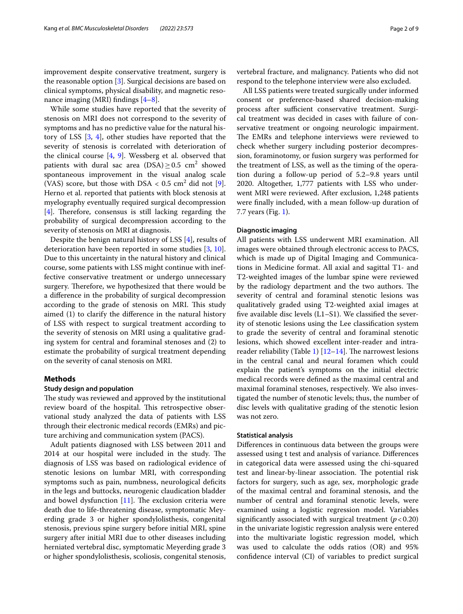improvement despite conservative treatment, surgery is the reasonable option [[3\]](#page-8-2). Surgical decisions are based on clinical symptoms, physical disability, and magnetic resonance imaging (MRI) findings  $[4-8]$  $[4-8]$ .

While some studies have reported that the severity of stenosis on MRI does not correspond to the severity of symptoms and has no predictive value for the natural history of LSS [\[3,](#page-8-2) [4\]](#page-8-3), other studies have reported that the severity of stenosis is correlated with deterioration of the clinical course [\[4](#page-8-3), [9](#page-8-5)]. Wessberg et al. observed that patients with dural sac area (DSA) $\geq$ 0.5 cm<sup>2</sup> showed spontaneous improvement in the visual analog scale (VAS) score, but those with  $DSA < 0.5$  cm<sup>2</sup> did not [\[9](#page-8-5)]. Herno et al. reported that patients with block stenosis at myelography eventually required surgical decompression  $[4]$  $[4]$ . Therefore, consensus is still lacking regarding the probability of surgical decompression according to the severity of stenosis on MRI at diagnosis.

Despite the benign natural history of LSS [[4\]](#page-8-3), results of deterioration have been reported in some studies [\[3](#page-8-2), [10](#page-8-6)]. Due to this uncertainty in the natural history and clinical course, some patients with LSS might continue with ineffective conservative treatment or undergo unnecessary surgery. Therefore, we hypothesized that there would be a diference in the probability of surgical decompression according to the grade of stenosis on MRI. This study aimed (1) to clarify the diference in the natural history of LSS with respect to surgical treatment according to the severity of stenosis on MRI using a qualitative grading system for central and foraminal stenoses and (2) to estimate the probability of surgical treatment depending on the severity of canal stenosis on MRI.

## **Methods**

## **Study design and population**

The study was reviewed and approved by the institutional review board of the hospital. This retrospective observational study analyzed the data of patients with LSS through their electronic medical records (EMRs) and picture archiving and communication system (PACS).

Adult patients diagnosed with LSS between 2011 and 2014 at our hospital were included in the study. The diagnosis of LSS was based on radiological evidence of stenotic lesions on lumbar MRI, with corresponding symptoms such as pain, numbness, neurological deficits in the legs and buttocks, neurogenic claudication bladder and bowel dysfunction  $[11]$  $[11]$ . The exclusion criteria were death due to life-threatening disease, symptomatic Meyerding grade 3 or higher spondylolisthesis, congenital stenosis, previous spine surgery before initial MRI, spine surgery after initial MRI due to other diseases including herniated vertebral disc, symptomatic Meyerding grade 3 or higher spondylolisthesis, scoliosis, congenital stenosis,

vertebral fracture, and malignancy. Patients who did not respond to the telephone interview were also excluded.

All LSS patients were treated surgically under informed consent or preference-based shared decision-making process after sufficient conservative treatment. Surgical treatment was decided in cases with failure of conservative treatment or ongoing neurologic impairment. The EMRs and telephone interviews were reviewed to check whether surgery including posterior decompression, foraminotomy, or fusion surgery was performed for the treatment of LSS, as well as the timing of the operation during a follow-up period of 5.2–9.8 years until 2020. Altogether, 1,777 patients with LSS who underwent MRI were reviewed. After exclusion, 1,248 patients were fnally included, with a mean follow-up duration of 7.7 years (Fig. [1\)](#page-2-0).

#### **Diagnostic imaging**

All patients with LSS underwent MRI examination. All images were obtained through electronic access to PACS, which is made up of Digital Imaging and Communications in Medicine format. All axial and sagittal T1- and T2-weighted images of the lumbar spine were reviewed by the radiology department and the two authors. The severity of central and foraminal stenotic lesions was qualitatively graded using T2-weighted axial images at fve available disc levels (L1–S1). We classifed the severity of stenotic lesions using the Lee classifcation system to grade the severity of central and foraminal stenotic lesions, which showed excellent inter-reader and intra-reader reliability (Table [1](#page-2-1))  $[12-14]$  $[12-14]$  $[12-14]$ . The narrowest lesions in the central canal and neural foramen which could explain the patient's symptoms on the initial electric medical records were defned as the maximal central and maximal foraminal stenoses, respectively. We also investigated the number of stenotic levels; thus, the number of disc levels with qualitative grading of the stenotic lesion was not zero.

#### **Statistical analysis**

Diferences in continuous data between the groups were assessed using t test and analysis of variance. Diferences in categorical data were assessed using the chi-squared test and linear-by-linear association. The potential risk factors for surgery, such as age, sex, morphologic grade of the maximal central and foraminal stenosis, and the number of central and foraminal stenotic levels, were examined using a logistic regression model. Variables significantly associated with surgical treatment  $(p < 0.20)$ in the univariate logistic regression analysis were entered into the multivariate logistic regression model, which was used to calculate the odds ratios (OR) and 95% confdence interval (CI) of variables to predict surgical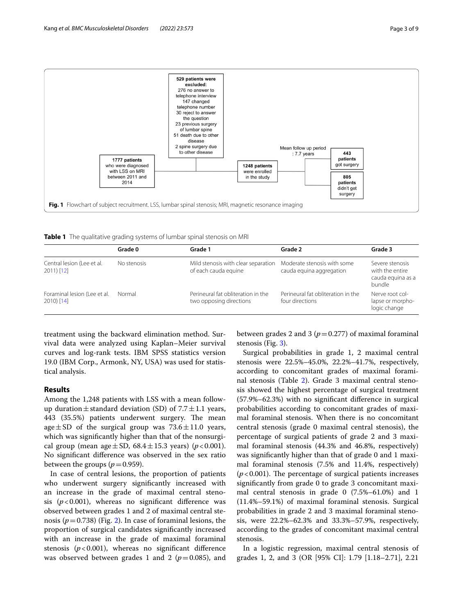

<span id="page-2-1"></span><span id="page-2-0"></span>**Table 1** The qualitative grading systems of lumbar spinal stenosis on MRI

|                                             | Grade 0     | Grade 1                                                       | Grade 2                                                 | Grade 3                                                           |
|---------------------------------------------|-------------|---------------------------------------------------------------|---------------------------------------------------------|-------------------------------------------------------------------|
| Central lesion (Lee et al.<br>$2011$ [12]   | No stenosis | Mild stenosis with clear separation<br>of each cauda equine   | Moderate stenosis with some<br>cauda equina aggregation | Severe stenosis<br>with the entire<br>cauda equina as a<br>bundle |
| Foraminal lesion (Lee et al.<br>$2010$ [14] | Normal      | Perineural fat obliteration in the<br>two opposing directions | Perineural fat obliteration in the<br>four directions   | Nerve root col-<br>lapse or morpho-<br>logic change               |

treatment using the backward elimination method. Survival data were analyzed using Kaplan–Meier survival curves and log-rank tests. IBM SPSS statistics version 19.0 (IBM Corp., Armonk, NY, USA) was used for statistical analysis.

## **Results**

Among the 1,248 patients with LSS with a mean followup duration  $\pm$  standard deviation (SD) of 7.7  $\pm$  1.1 years, 443 (35.5%) patients underwent surgery. The mean age  $\pm$  SD of the surgical group was 73.6 $\pm$ 11.0 years, which was signifcantly higher than that of the nonsurgical group (mean age $\pm$ SD, 68.4 $\pm$ 15.3 years) (*p*<0.001). No signifcant diference was observed in the sex ratio between the groups  $(p=0.959)$ .

In case of central lesions, the proportion of patients who underwent surgery signifcantly increased with an increase in the grade of maximal central stenosis  $(p<0.001)$ , whereas no significant difference was observed between grades 1 and 2 of maximal central stenosis  $(p=0.738)$  (Fig. [2](#page-3-0)). In case of foraminal lesions, the proportion of surgical candidates signifcantly increased with an increase in the grade of maximal foraminal stenosis  $(p<0.001)$ , whereas no significant difference was observed between grades 1 and 2 ( $p=0.085$ ), and between grades 2 and 3  $(p=0.277)$  of maximal foraminal stenosis (Fig. [3\)](#page-3-1).

Surgical probabilities in grade 1, 2 maximal central stenosis were 22.5%–45.0%, 22.2%–41.7%, respectively, according to concomitant grades of maximal foraminal stenosis (Table [2\)](#page-4-0). Grade 3 maximal central stenosis showed the highest percentage of surgical treatment (57.9%–62.3%) with no signifcant diference in surgical probabilities according to concomitant grades of maximal foraminal stenosis. When there is no concomitant central stenosis (grade 0 maximal central stenosis), the percentage of surgical patients of grade 2 and 3 maximal foraminal stenosis (44.3% and 46.8%, respectively) was signifcantly higher than that of grade 0 and 1 maximal foraminal stenosis (7.5% and 11.4%, respectively)  $(p<0.001)$ . The percentage of surgical patients increases signifcantly from grade 0 to grade 3 concomitant maximal central stenosis in grade 0 (7.5%–61.0%) and 1 (11.4%–59.1%) of maximal foraminal stenosis. Surgical probabilities in grade 2 and 3 maximal foraminal stenosis, were 22.2%–62.3% and 33.3%–57.9%, respectively, according to the grades of concomitant maximal central stenosis.

In a logistic regression, maximal central stenosis of grades 1, 2, and 3 (OR [95% CI]: 1.79 [1.18–2.71], 2.21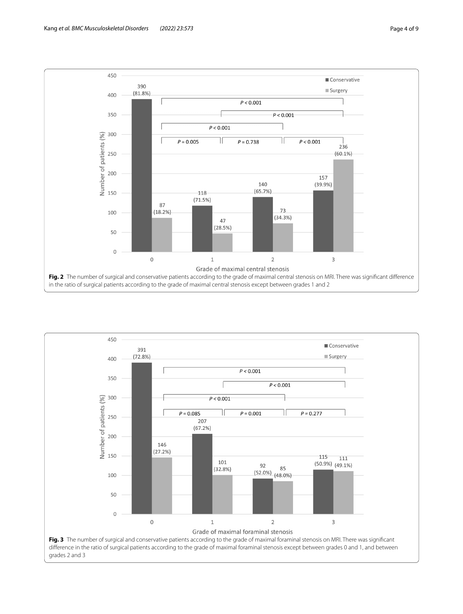

<span id="page-3-1"></span><span id="page-3-0"></span>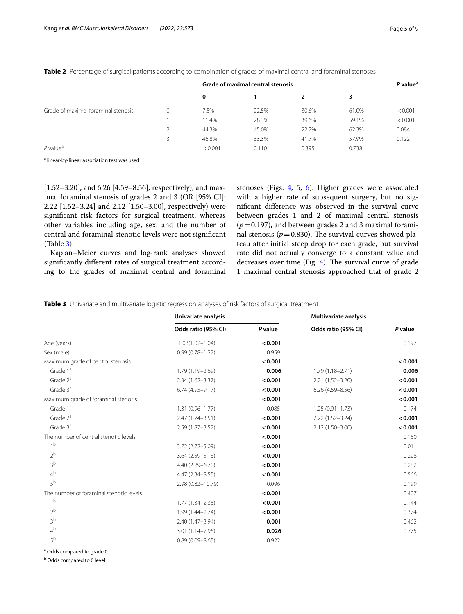|                                     |          | <b>Grade of maximal central stenosis</b> |       |       |       | $P$ value <sup>a</sup> |
|-------------------------------------|----------|------------------------------------------|-------|-------|-------|------------------------|
|                                     |          | 0                                        |       |       |       |                        |
| Grade of maximal foraminal stenosis | $\Omega$ | 7.5%                                     | 22.5% | 30.6% | 61.0% | < 0.001                |
|                                     |          | 11.4%                                    | 28.3% | 39.6% | 59.1% | < 0.001                |
|                                     |          | 44.3%                                    | 45.0% | 22.2% | 62.3% | 0.084                  |
|                                     | 3        | 46.8%                                    | 33.3% | 41.7% | 57.9% | 0.122                  |
| $P$ value <sup>a</sup>              |          | < 0.001                                  | 0.110 | 0.395 | 0.738 |                        |

<span id="page-4-0"></span>**Table 2** Percentage of surgical patients according to combination of grades of maximal central and foraminal stenoses

<sup>a</sup> linear-by-linear association test was used

 $[1.52-3.20]$ , and 6.26 [4.59–8.56], respectively), and maximal foraminal stenosis of grades 2 and 3 (OR [95% CI]: 2.22 [1.52–3.24] and 2.12 [1.50–3.00], respectively) were signifcant risk factors for surgical treatment, whereas other variables including age, sex, and the number of central and foraminal stenotic levels were not signifcant (Table [3](#page-4-1)).

Kaplan–Meier curves and log-rank analyses showed signifcantly diferent rates of surgical treatment according to the grades of maximal central and foraminal stenoses (Figs. [4,](#page-5-0) [5,](#page-6-0) [6](#page-7-0)). Higher grades were associated with a higher rate of subsequent surgery, but no signifcant diference was observed in the survival curve between grades 1 and 2 of maximal central stenosis  $(p=0.197)$ , and between grades 2 and 3 maximal foraminal stenosis ( $p = 0.830$ ). The survival curves showed plateau after initial steep drop for each grade, but survival rate did not actually converge to a constant value and decreases over time (Fig.  $4$ ). The survival curve of grade 1 maximal central stenosis approached that of grade 2

<span id="page-4-1"></span>**Table 3** Univariate and multivariate logistic regression analyses of risk factors of surgical treatment

|                                         | Univariate analysis |         | <b>Multivariate analysis</b> |         |  |
|-----------------------------------------|---------------------|---------|------------------------------|---------|--|
|                                         | Odds ratio (95% CI) | P value | Odds ratio (95% CI)          | P value |  |
| Age (years)                             | $1.03(1.02 - 1.04)$ | < 0.001 |                              | 0.197   |  |
| Sex (male)                              | $0.99(0.78 - 1.27)$ | 0.959   |                              |         |  |
| Maximum grade of central stenosis       |                     | < 0.001 |                              | < 0.001 |  |
| Grade $1a$                              | 1.79 (1.19 - 2.69)  | 0.006   | $1.79(1.18 - 2.71)$          | 0.006   |  |
| Grade $2^a$                             | $2.34(1.62 - 3.37)$ | < 0.001 | $2.21(1.52 - 3.20)$          | < 0.001 |  |
| Grade $3^a$                             | $6.74(4.95 - 9.17)$ | < 0.001 | $6.26(4.59 - 8.56)$          | < 0.001 |  |
| Maximum grade of foraminal stenosis     |                     | < 0.001 |                              | < 0.001 |  |
| Grade 1ª                                | $1.31(0.96 - 1.77)$ | 0.085   | $1.25(0.91 - 1.73)$          | 0.174   |  |
| Grade $2^a$                             | $2.47(1.74 - 3.51)$ | < 0.001 | $2.22(1.52 - 3.24)$          | < 0.001 |  |
| Grade $3^a$                             | $2.59(1.87 - 3.57)$ | < 0.001 | 2.12 (1.50-3.00)             | < 0.001 |  |
| The number of central stenotic levels   |                     | < 0.001 |                              | 0.150   |  |
| 1 <sup>b</sup>                          | 3.72 (2.72-5.09)    | < 0.001 |                              | 0.011   |  |
| 2 <sup>b</sup>                          | $3.64(2.59 - 5.13)$ | < 0.001 |                              | 0.228   |  |
| 3 <sup>b</sup>                          | 4.40 (2.89-6.70)    | < 0.001 |                              | 0.282   |  |
| 4 <sup>b</sup>                          | $4.47(2.34 - 8.55)$ | < 0.001 |                              | 0.566   |  |
| 5 <sup>b</sup>                          | 2.98 (0.82-10.79)   | 0.096   |                              | 0.199   |  |
| The number of foraminal stenotic levels |                     | < 0.001 |                              | 0.407   |  |
| 1 <sup>b</sup>                          | $1.77(1.34 - 2.35)$ | < 0.001 |                              | 0.144   |  |
| 2 <sup>b</sup>                          | $1.99(1.44 - 2.74)$ | < 0.001 |                              | 0.374   |  |
| 3 <sup>b</sup>                          | 2.40 (1.47-3.94)    | 0.001   |                              | 0.462   |  |
| $4^b$                                   | 3.01 (1.14-7.96)    | 0.026   |                              | 0.775   |  |
| 5 <sup>b</sup>                          | $0.89(0.09 - 8.65)$ | 0.922   |                              |         |  |

<sup>a</sup> Odds compared to grade 0,

**b** Odds compared to 0 level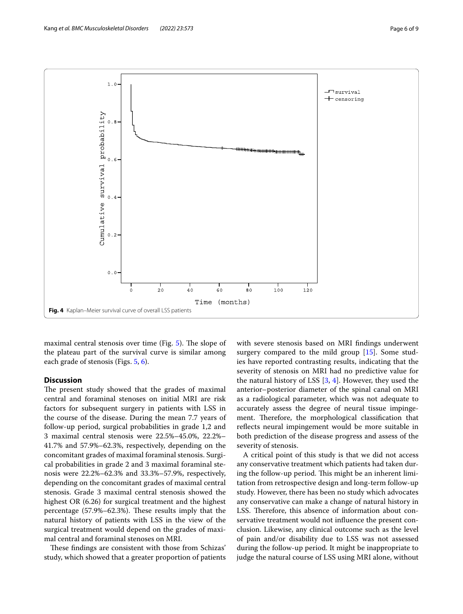

<span id="page-5-0"></span>maximal central stenosis over time (Fig.  $5$ ). The slope of the plateau part of the survival curve is similar among each grade of stenosis (Figs. [5](#page-6-0), [6](#page-7-0)).

## **Discussion**

The present study showed that the grades of maximal central and foraminal stenoses on initial MRI are risk factors for subsequent surgery in patients with LSS in the course of the disease. During the mean 7.7 years of follow-up period, surgical probabilities in grade 1,2 and 3 maximal central stenosis were 22.5%–45.0%, 22.2%– 41.7% and 57.9%–62.3%, respectively, depending on the concomitant grades of maximal foraminal stenosis. Surgical probabilities in grade 2 and 3 maximal foraminal stenosis were 22.2%–62.3% and 33.3%–57.9%, respectively, depending on the concomitant grades of maximal central stenosis. Grade 3 maximal central stenosis showed the highest OR (6.26) for surgical treatment and the highest percentage  $(57.9\% - 62.3\%)$ . These results imply that the natural history of patients with LSS in the view of the surgical treatment would depend on the grades of maximal central and foraminal stenoses on MRI.

These findings are consistent with those from Schizas' study, which showed that a greater proportion of patients with severe stenosis based on MRI fndings underwent surgery compared to the mild group [\[15](#page-8-10)]. Some studies have reported contrasting results, indicating that the severity of stenosis on MRI had no predictive value for the natural history of LSS [[3,](#page-8-2) [4\]](#page-8-3). However, they used the anterior–posterior diameter of the spinal canal on MRI as a radiological parameter, which was not adequate to accurately assess the degree of neural tissue impingement. Therefore, the morphological classification that reflects neural impingement would be more suitable in both prediction of the disease progress and assess of the severity of stenosis.

A critical point of this study is that we did not access any conservative treatment which patients had taken during the follow-up period. This might be an inherent limitation from retrospective design and long-term follow-up study. However, there has been no study which advocates any conservative can make a change of natural history in LSS. Therefore, this absence of information about conservative treatment would not infuence the present conclusion. Likewise, any clinical outcome such as the level of pain and/or disability due to LSS was not assessed during the follow-up period. It might be inappropriate to judge the natural course of LSS using MRI alone, without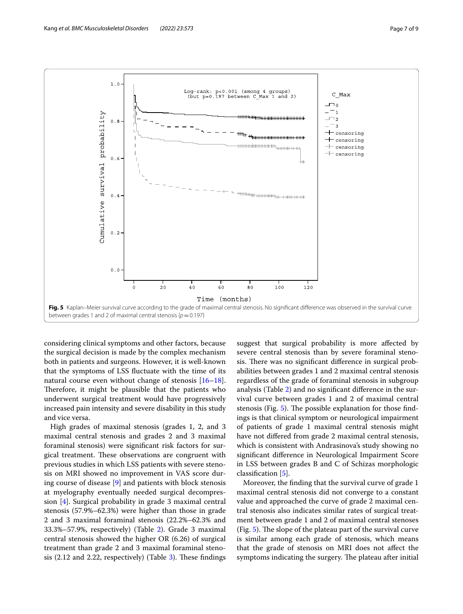

<span id="page-6-0"></span>considering clinical symptoms and other factors, because the surgical decision is made by the complex mechanism both in patients and surgeons. However, it is well-known that the symptoms of LSS fuctuate with the time of its natural course even without change of stenosis [[16](#page-8-11)[–18](#page-8-12)]. Therefore, it might be plausible that the patients who underwent surgical treatment would have progressively increased pain intensity and severe disability in this study and vice versa.

High grades of maximal stenosis (grades 1, 2, and 3 maximal central stenosis and grades 2 and 3 maximal foraminal stenosis) were signifcant risk factors for surgical treatment. These observations are congruent with previous studies in which LSS patients with severe stenosis on MRI showed no improvement in VAS score during course of disease [[9\]](#page-8-5) and patients with block stenosis at myelography eventually needed surgical decompression [\[4](#page-8-3)]. Surgical probability in grade 3 maximal central stenosis (57.9%–62.3%) were higher than those in grade 2 and 3 maximal foraminal stenosis (22.2%–62.3% and 33.3%–57.9%, respectively) (Table [2](#page-4-0)). Grade 3 maximal central stenosis showed the higher OR (6.26) of surgical treatment than grade 2 and 3 maximal foraminal stenosis  $(2.12 \text{ and } 2.22, \text{ respectively})$  (Table [3](#page-4-1)). These findings

suggest that surgical probability is more afected by severe central stenosis than by severe foraminal stenosis. There was no significant difference in surgical probabilities between grades 1 and 2 maximal central stenosis regardless of the grade of foraminal stenosis in subgroup analysis (Table [2\)](#page-4-0) and no signifcant diference in the survival curve between grades 1 and 2 of maximal central stenosis (Fig.  $5$ ). The possible explanation for those findings is that clinical symptom or neurological impairment of patients of grade 1 maximal central stenosis might have not difered from grade 2 maximal central stenosis, which is consistent with Andrasinova's study showing no signifcant diference in Neurological Impairment Score in LSS between grades B and C of Schizas morphologic classifcation [[5\]](#page-8-13).

Moreover, the fnding that the survival curve of grade 1 maximal central stenosis did not converge to a constant value and approached the curve of grade 2 maximal central stenosis also indicates similar rates of surgical treatment between grade 1 and 2 of maximal central stenoses (Fig.  $5$ ). The slope of the plateau part of the survival curve is similar among each grade of stenosis, which means that the grade of stenosis on MRI does not afect the symptoms indicating the surgery. The plateau after initial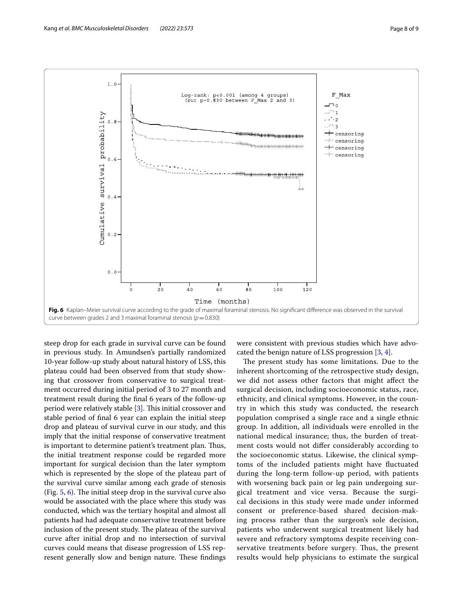

<span id="page-7-0"></span>steep drop for each grade in survival curve can be found in previous study. In Amundsen's partially randomized 10-year follow-up study about natural history of LSS, this plateau could had been observed from that study showing that crossover from conservative to surgical treatment occurred during initial period of 3 to 27 month and treatment result during the fnal 6 years of the follow-up period were relatively stable  $[3]$  $[3]$ . This initial crossover and stable period of fnal 6 year can explain the initial steep drop and plateau of survival curve in our study, and this imply that the initial response of conservative treatment is important to determine patient's treatment plan. Thus, the initial treatment response could be regarded more important for surgical decision than the later symptom which is represented by the slope of the plateau part of the survival curve similar among each grade of stenosis (Fig.  $5, 6$ ). The initial steep drop in the survival curve also would be associated with the place where this study was conducted, which was the tertiary hospital and almost all patients had had adequate conservative treatment before inclusion of the present study. The plateau of the survival curve after initial drop and no intersection of survival curves could means that disease progression of LSS represent generally slow and benign nature. These findings were consistent with previous studies which have advocated the benign nature of LSS progression [\[3](#page-8-2), [4\]](#page-8-3).

The present study has some limitations. Due to the inherent shortcoming of the retrospective study design, we did not assess other factors that might afect the surgical decision, including socioeconomic status, race, ethnicity, and clinical symptoms. However, in the country in which this study was conducted, the research population comprised a single race and a single ethnic group. In addition, all individuals were enrolled in the national medical insurance; thus, the burden of treatment costs would not difer considerably according to the socioeconomic status. Likewise, the clinical symptoms of the included patients might have fuctuated during the long-term follow-up period, with patients with worsening back pain or leg pain undergoing surgical treatment and vice versa. Because the surgical decisions in this study were made under informed consent or preference-based shared decision-making process rather than the surgeon's sole decision, patients who underwent surgical treatment likely had severe and refractory symptoms despite receiving conservative treatments before surgery. Thus, the present results would help physicians to estimate the surgical